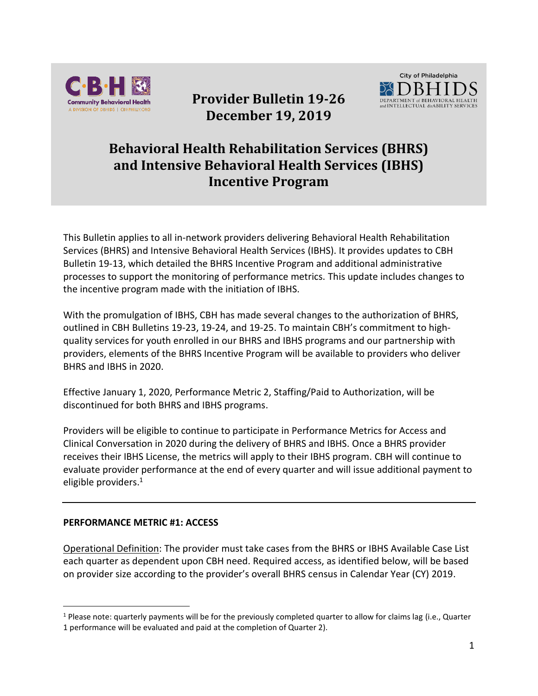

## **Provider Bulletin 19-26 December 19, 2019**



# **Behavioral Health Rehabilitation Services (BHRS) and Intensive Behavioral Health Services (IBHS) Incentive Program**

This Bulletin applies to all in-network providers delivering Behavioral Health Rehabilitation Services (BHRS) and Intensive Behavioral Health Services (IBHS). It provides updates to CBH Bulletin 19-13, which detailed the BHRS Incentive Program and additional administrative processes to support the monitoring of performance metrics. This update includes changes to the incentive program made with the initiation of IBHS.

With the promulgation of IBHS, CBH has made several changes to the authorization of BHRS, outlined in CBH Bulletins 19-23, 19-24, and 19-25. To maintain CBH's commitment to highquality services for youth enrolled in our BHRS and IBHS programs and our partnership with providers, elements of the BHRS Incentive Program will be available to providers who deliver BHRS and IBHS in 2020.

Effective January 1, 2020, Performance Metric 2, Staffing/Paid to Authorization, will be discontinued for both BHRS and IBHS programs.

Providers will be eligible to continue to participate in Performance Metrics for Access and Clinical Conversation in 2020 during the delivery of BHRS and IBHS. Once a BHRS provider receives their IBHS License, the metrics will apply to their IBHS program. CBH will continue to evaluate provider performance at the end of every quarter and will issue additional payment to eligible providers. 1

### **PERFORMANCE METRIC #1: ACCESS**

 $\overline{a}$ 

Operational Definition: The provider must take cases from the BHRS or IBHS Available Case List each quarter as dependent upon CBH need. Required access, as identified below, will be based on provider size according to the provider's overall BHRS census in Calendar Year (CY) 2019.

 $1$  Please note: quarterly payments will be for the previously completed quarter to allow for claims lag (i.e., Quarter

<sup>1</sup> performance will be evaluated and paid at the completion of Quarter 2).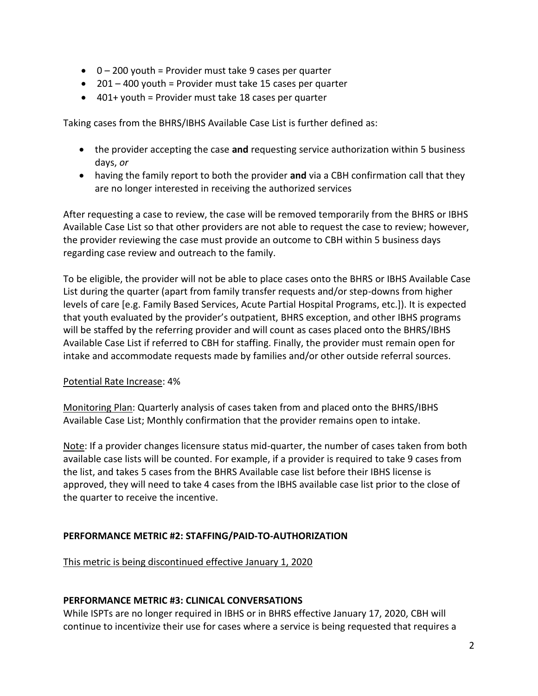- $\bullet$  0 200 youth = Provider must take 9 cases per quarter
- 201 400 youth = Provider must take 15 cases per quarter
- 401+ youth = Provider must take 18 cases per quarter

Taking cases from the BHRS/IBHS Available Case List is further defined as:

- the provider accepting the case **and** requesting service authorization within 5 business days, *or*
- having the family report to both the provider **and** via a CBH confirmation call that they are no longer interested in receiving the authorized services

After requesting a case to review, the case will be removed temporarily from the BHRS or IBHS Available Case List so that other providers are not able to request the case to review; however, the provider reviewing the case must provide an outcome to CBH within 5 business days regarding case review and outreach to the family.

To be eligible, the provider will not be able to place cases onto the BHRS or IBHS Available Case List during the quarter (apart from family transfer requests and/or step-downs from higher levels of care [e.g. Family Based Services, Acute Partial Hospital Programs, etc.]). It is expected that youth evaluated by the provider's outpatient, BHRS exception, and other IBHS programs will be staffed by the referring provider and will count as cases placed onto the BHRS/IBHS Available Case List if referred to CBH for staffing. Finally, the provider must remain open for intake and accommodate requests made by families and/or other outside referral sources.

### Potential Rate Increase: 4%

Monitoring Plan: Quarterly analysis of cases taken from and placed onto the BHRS/IBHS Available Case List; Monthly confirmation that the provider remains open to intake.

Note: If a provider changes licensure status mid-quarter, the number of cases taken from both available case lists will be counted. For example, if a provider is required to take 9 cases from the list, and takes 5 cases from the BHRS Available case list before their IBHS license is approved, they will need to take 4 cases from the IBHS available case list prior to the close of the quarter to receive the incentive.

## **PERFORMANCE METRIC #2: STAFFING/PAID-TO-AUTHORIZATION**

This metric is being discontinued effective January 1, 2020

### **PERFORMANCE METRIC #3: CLINICAL CONVERSATIONS**

While ISPTs are no longer required in IBHS or in BHRS effective January 17, 2020, CBH will continue to incentivize their use for cases where a service is being requested that requires a